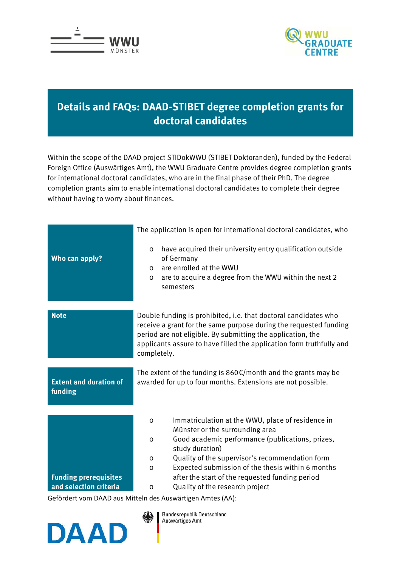



## **Details and FAQs: DAAD-STIBET degree completion grants for doctoral candidates**

Within the scope of the DAAD project STIDokWWU (STIBET Doktoranden), funded by the Federal Foreign Office (Auswärtiges Amt), the WWU Graduate Centre provides degree completion grants for international doctoral candidates, who are in the final phase of their PhD. The degree completion grants aim to enable international doctoral candidates to complete their degree without having to worry about finances.

|                                                        | The application is open for international doctoral candidates, who                                                                                                                                                                                                                                                                                                                                                                                                                 |
|--------------------------------------------------------|------------------------------------------------------------------------------------------------------------------------------------------------------------------------------------------------------------------------------------------------------------------------------------------------------------------------------------------------------------------------------------------------------------------------------------------------------------------------------------|
| Who can apply?                                         | have acquired their university entry qualification outside<br>$\circ$<br>of Germany<br>are enrolled at the WWU<br>$\circ$<br>are to acquire a degree from the WWU within the next 2<br>$\circ$<br>semesters                                                                                                                                                                                                                                                                        |
| <b>Note</b>                                            | Double funding is prohibited, i.e. that doctoral candidates who<br>receive a grant for the same purpose during the requested funding<br>period are not eligible. By submitting the application, the<br>applicants assure to have filled the application form truthfully and<br>completely.                                                                                                                                                                                         |
| <b>Extent and duration of</b><br>funding               | The extent of the funding is $860 \text{E/m}$ onth and the grants may be<br>awarded for up to four months. Extensions are not possible.                                                                                                                                                                                                                                                                                                                                            |
| <b>Funding prerequisites</b><br>and selection criteria | Immatriculation at the WWU, place of residence in<br>$\circ$<br>Münster or the surrounding area<br>Good academic performance (publications, prizes,<br>$\circ$<br>study duration)<br>Quality of the supervisor's recommendation form<br>$\circ$<br>Expected submission of the thesis within 6 months<br>O<br>after the start of the requested funding period<br>Quality of the research project<br>$\circ$<br>$Cof\ddot{o}rdort$ vam $DAAD$ aug Mittale des Augustizen Amter (AA). |

Gefördert vom DAAD aus Mitteln des Auswärtigen Amtes (AA):



Bundesrepublik Deutschland Auswärtiges Amt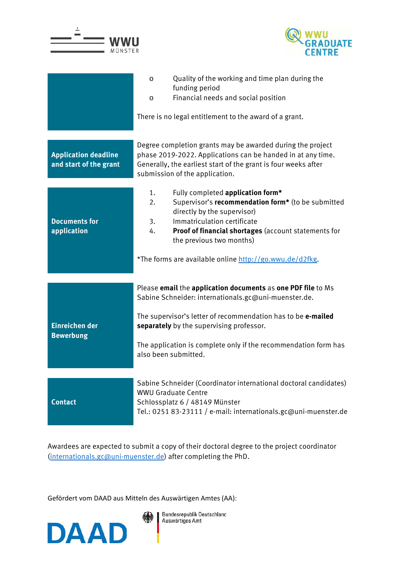

Awardees are expected to submit a copy of their doctoral degree to the project coordinator [\(internationals.gc@uni-muenster.de\)](mailto:internationals.gc@uni-muenster.de) after completing the PhD.

Gefördert vom DAAD aus Mitteln des Auswärtigen Amtes (AA):